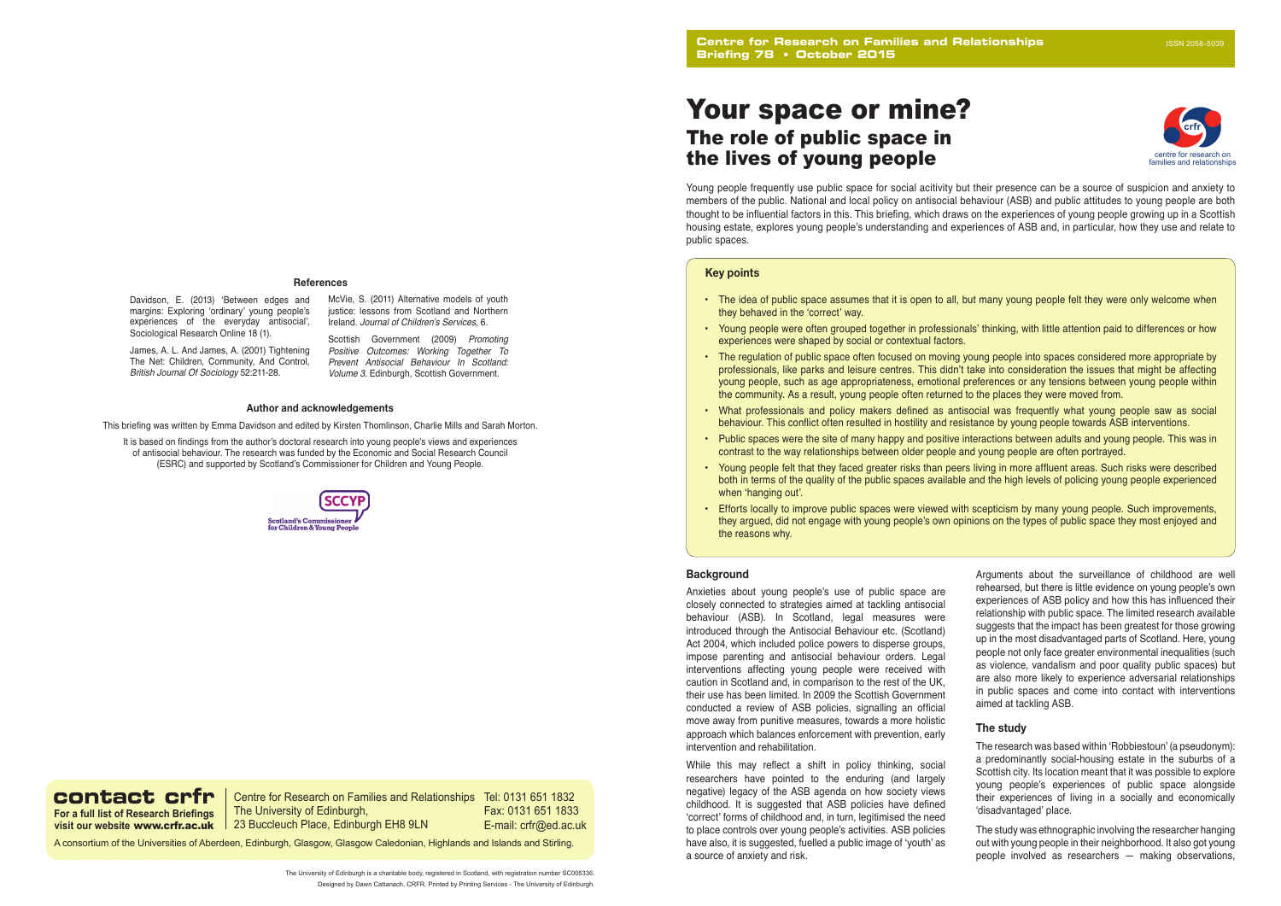# Your space or mine? The role of public space in the lives of young people

The University of Edinburgh, 23 Buccleuch Place, Edinburgh EH8 9LN

**For a full list of Research Briefings visit our website** www.crfr.ac.uk Fax: 0131 651 1833 E-mail: crfr@ed.ac.uk

A consortium of the Universities of Aberdeen, Edinburgh, Glasgow, Glasgow Caledonian, Highlands and Islands and Stirling.

## **Background**

Anxieties about young people's use of public space are closely connected to strategies aimed at tackling antisocial behaviour (ASB). In Scotland, legal measures were introduced through the Antisocial Behaviour etc. (Scotland) Act 2004, which included police powers to disperse groups, impose parenting and antisocial behaviour orders. Legal interventions affecting young people were received with caution in Scotland and, in comparison to the rest of the UK, their use has been limited. In 2009 the Scottish Government conducted a review of ASB policies, signalling an official move away from punitive measures, towards a more holistic approach which balances enforcement with prevention, early intervention and rehabilitation.

While this may reflect a shift in policy thinking, social researchers have pointed to the enduring (and largely negative) legacy of the ASB agenda on how society views childhood. It is suggested that ASB policies have defined 'correct' forms of childhood and, in turn, legitimised the need to place controls over young people's activities. ASB policies have also, it is suggested, fuelled a public image of 'youth' as a source of anxiety and risk.

## **Author and acknowledgements**

Davidson, E. (2013) 'Between edges and margins: Exploring 'ordinary' young people's experiences of the everyday antisocial', Sociological Research Online 18 (1).

James, A. L. And James, A. (2001) Tightening The Net: Children, Community, And Control, *British Journal Of Sociology* 52:211-28.

#### **References**

- The idea of public space assumes that it is open to all, but many young people felt they were only welcome when they behaved in the 'correct' way.
- Young people were often grouped together in professionals' thinking, with little attention paid to differences or how experiences were shaped by social or contextual factors.
- The regulation of public space often focused on moving young people into spaces considered more appropriate by professionals, like parks and leisure centres. This didn't take into consideration the issues that might be affecting young people, such as age appropriateness, emotional preferences or any tensions between young people within the community. As a result, young people often returned to the places they were moved from.
- What professionals and policy makers defined as antisocial was frequently what young people saw as social behaviour. This conflict often resulted in hostility and resistance by young people towards ASB interventions.
- Public spaces were the site of many happy and positive interactions between adults and young people. This was in contrast to the way relationships between older people and young people are often portrayed.
- Young people felt that they faced greater risks than peers living in more affluent areas. Such risks were described both in terms of the quality of the public spaces available and the high levels of policing young people experienced when 'hanging out'.
- Efforts locally to improve public spaces were viewed with scepticism by many young people. Such improvements, they argued, did not engage with young people's own opinions on the types of public space they most enjoyed and the reasons why.

It is based on findings from the author's doctoral research into young people's views and experiences of antisocial behaviour. The research was funded by the Economic and Social Research Council (ESRC) and supported by Scotland's Commissioner for Children and Young People.



## **contact crfr** | Centre for Research on Families and Relationships Tel: 0131 651 1832

### **Key points**

Arguments about the surveillance of childhood are well rehearsed, but there is little evidence on young people's own experiences of ASB policy and how this has influenced their relationship with public space. The limited research available suggests that the impact has been greatest for those growing up in the most disadvantaged parts of Scotland. Here, young people not only face greater environmental inequalities (such as violence, vandalism and poor quality public spaces) but are also more likely to experience adversarial relationships in public spaces and come into contact with interventions aimed at tackling ASB.

## **The study**

The research was based within 'Robbiestoun' (a pseudonym): a predominantly social-housing estate in the suburbs of a Scottish city. Its location meant that it was possible to explore young people's experiences of public space alongside their experiences of living in a socially and economically 'disadvantaged' place.

The study was ethnographic involving the researcher hanging out with young people in their neighborhood. It also got young people involved as researchers — making observations,

Young people frequently use public space for social acitivity but their presence can be a source of suspicion and anxiety to members of the public. National and local policy on antisocial behaviour (ASB) and public attitudes to young people are both thought to be influential factors in this. This briefing, which draws on the experiences of young people growing up in a Scottish housing estate, explores young people's understanding and experiences of ASB and, in particular, how they use and relate to public spaces.

McVie, S. (2011) Alternative models of youth justice: lessons from Scotland and Northern Ireland. Journal of Children's Services, 6.

Scottish Government (2009) *Promoting*  Positive Outcomes: Working Together To Prevent Antisocial Behaviour In Scotland: *Volume 3*. Edinburgh, Scottish Government.

This briefing was written by Emma Davidson and edited by Kirsten Thomlinson, Charlie Mills and Sarah Morton.